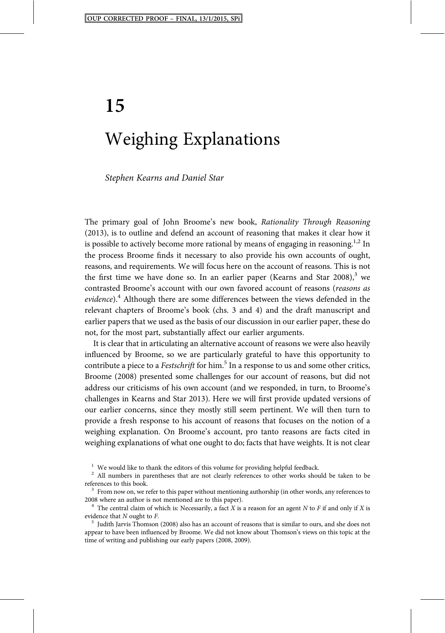# **15** Weighing Explanations

Stephen Kearns and Daniel Star

The primary goal of John Broome's new book, Rationality Through Reasoning (2013), is to outline and defend an account of reasoning that makes it clear how it is possible to actively become more rational by means of engaging in reasoning.<sup>1,2</sup> In the process Broome finds it necessary to also provide his own accounts of ought, reasons, and requirements. We will focus here on the account of reasons. This is not the first time we have done so. In an earlier paper (Kearns and Star 2008), $3$  we contrasted Broome's account with our own favored account of reasons (reasons as evidence).<sup>4</sup> Although there are some differences between the views defended in the relevant chapters of Broome's book (chs. 3 and 4) and the draft manuscript and earlier papers that we used as the basis of our discussion in our earlier paper, these do not, for the most part, substantially affect our earlier arguments.

It is clear that in articulating an alternative account of reasons we were also heavily influenced by Broome, so we are particularly grateful to have this opportunity to contribute a piece to a *Festschrift* for him.<sup>5</sup> In a response to us and some other critics, Broome (2008) presented some challenges for our account of reasons, but did not address our criticisms of his own account (and we responded, in turn, to Broome's challenges in Kearns and Star 2013). Here we will first provide updated versions of our earlier concerns, since they mostly still seem pertinent. We will then turn to provide a fresh response to his account of reasons that focuses on the notion of a weighing explanation. On Broome's account, pro tanto reasons are facts cited in weighing explanations of what one ought to do; facts that have weights. It is not clear

 $^{\rm 1}$  We would like to thank the editors of this volume for providing helpful feedback.  $^{\rm 2}$  All numbers in parentheses that are not clearly references to other works should be taken to be references to this book.<br><sup>3</sup> From now on, we refer to this paper without mentioning authorship (in other words, any references to

2008 where an author is not mentioned are to this paper).<br><sup>4</sup> The central claim of which is: Necessarily, a fact X is a reason for an agent N to F if and only if X is

evidence that N ought to F.  $^5$  Judith Jarvis Thomson (2008) also has an account of reasons that is similar to ours, and she does not

appear to have been influenced by Broome. We did not know about Thomson's views on this topic at the time of writing and publishing our early papers (2008, 2009).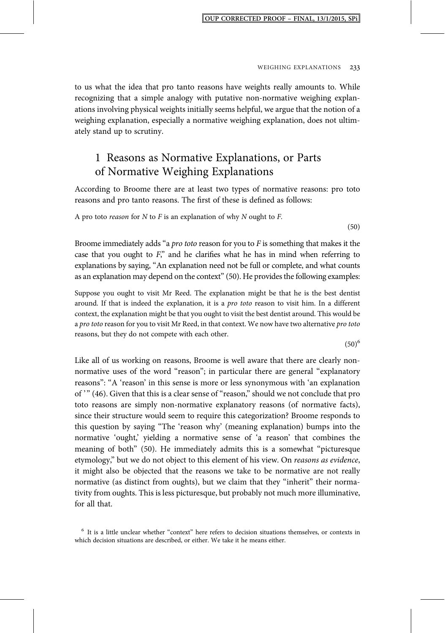to us what the idea that pro tanto reasons have weights really amounts to. While recognizing that a simple analogy with putative non-normative weighing explanations involving physical weights initially seems helpful, we argue that the notion of a weighing explanation, especially a normative weighing explanation, does not ultimately stand up to scrutiny.

## 1 Reasons as Normative Explanations, or Parts of Normative Weighing Explanations

According to Broome there are at least two types of normative reasons: pro toto reasons and pro tanto reasons. The first of these is defined as follows:

A pro toto *reason* for  $N$  to  $F$  is an explanation of why  $N$  ought to  $F$ .

(50)

Broome immediately adds "a  $pro\ to\ to\ reason\ for\ you\ to\ F$  is something that makes it the case that you ought to  $F$ ," and he clarifies what he has in mind when referring to explanations by saying, "An explanation need not be full or complete, and what counts as an explanation may depend on the context" (50). He provides the following examples:

Suppose you ought to visit Mr Reed. The explanation might be that he is the best dentist around. If that is indeed the explanation, it is a pro toto reason to visit him. In a different context, the explanation might be that you ought to visit the best dentist around. This would be a pro toto reason for you to visit Mr Reed, in that context. We now have two alternative pro toto reasons, but they do not compete with each other.

 $(50)^6$ 

Like all of us working on reasons, Broome is well aware that there are clearly nonnormative uses of the word "reason"; in particular there are general "explanatory reasons": "A 'reason' in this sense is more or less synonymous with 'an explanation of '" (46). Given that this is a clear sense of "reason," should we not conclude that pro toto reasons are simply non-normative explanatory reasons (of normative facts), since their structure would seem to require this categorization? Broome responds to this question by saying "The 'reason why' (meaning explanation) bumps into the normative 'ought,' yielding a normative sense of 'a reason' that combines the meaning of both" (50). He immediately admits this is a somewhat "picturesque etymology," but we do not object to this element of his view. On reasons as evidence, it might also be objected that the reasons we take to be normative are not really normative (as distinct from oughts), but we claim that they "inherit" their normativity from oughts. This is less picturesque, but probably not much more illuminative, for all that.

<sup>6</sup> It is a little unclear whether "context" here refers to decision situations themselves, or contexts in which decision situations are described, or either. We take it he means either.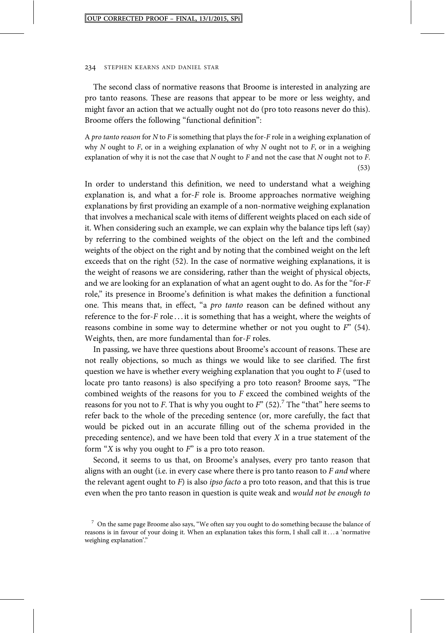The second class of normative reasons that Broome is interested in analyzing are pro tanto reasons. These are reasons that appear to be more or less weighty, and might favor an action that we actually ought not do (pro toto reasons never do this). Broome offers the following "functional definition":

A pro tanto reason for  $N$  to  $F$  is something that plays the for- $F$  role in a weighing explanation of why N ought to  $F$ , or in a weighing explanation of why N ought not to  $F$ , or in a weighing explanation of why it is not the case that  $N$  ought to  $F$  and not the case that  $N$  ought not to  $F$ . (53)

In order to understand this definition, we need to understand what a weighing explanation is, and what a for-F role is. Broome approaches normative weighing explanations by first providing an example of a non-normative weighing explanation that involves a mechanical scale with items of different weights placed on each side of it. When considering such an example, we can explain why the balance tips left (say) by referring to the combined weights of the object on the left and the combined weights of the object on the right and by noting that the combined weight on the left exceeds that on the right (52). In the case of normative weighing explanations, it is the weight of reasons we are considering, rather than the weight of physical objects, and we are looking for an explanation of what an agent ought to do. As for the "for-F role," its presence in Broome's definition is what makes the definition a functional one. This means that, in effect, "a pro tanto reason can be defined without any reference to the for-F role . . . it is something that has a weight, where the weights of reasons combine in some way to determine whether or not you ought to  $F''(54)$ . Weights, then, are more fundamental than for-F roles.

In passing, we have three questions about Broome's account of reasons. These are not really objections, so much as things we would like to see clarified. The first question we have is whether every weighing explanation that you ought to  $F$  (used to locate pro tanto reasons) is also specifying a pro toto reason? Broome says, "The combined weights of the reasons for you to F exceed the combined weights of the reasons for you not to F. That is why you ought to  $F''(52)$ .<sup>7</sup> The "that" here seems to refer back to the whole of the preceding sentence (or, more carefully, the fact that would be picked out in an accurate filling out of the schema provided in the preceding sentence), and we have been told that every  $X$  in a true statement of the form "X is why you ought to  $F$ " is a pro toto reason.

Second, it seems to us that, on Broome's analyses, every pro tanto reason that aligns with an ought (i.e. in every case where there is pro tanto reason to  $F$  and where the relevant agent ought to  $F$ ) is also *ipso facto* a pro toto reason, and that this is true even when the pro tanto reason in question is quite weak and would not be enough to

 $7$  On the same page Broome also says, "We often say you ought to do something because the balance of reasons is in favour of your doing it. When an explanation takes this form, I shall call it . . . a 'normative weighing explanation'."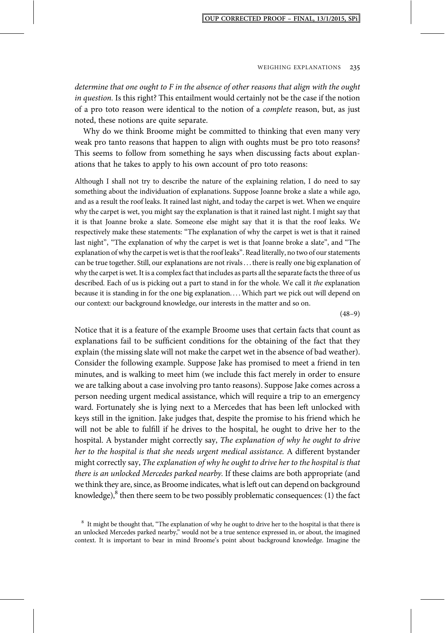determine that one ought to F in the absence of other reasons that align with the ought in question. Is this right? This entailment would certainly not be the case if the notion of a pro toto reason were identical to the notion of a complete reason, but, as just noted, these notions are quite separate.

Why do we think Broome might be committed to thinking that even many very weak pro tanto reasons that happen to align with oughts must be pro toto reasons? This seems to follow from something he says when discussing facts about explanations that he takes to apply to his own account of pro toto reasons:

Although I shall not try to describe the nature of the explaining relation, I do need to say something about the individuation of explanations. Suppose Joanne broke a slate a while ago, and as a result the roof leaks. It rained last night, and today the carpet is wet. When we enquire why the carpet is wet, you might say the explanation is that it rained last night. I might say that it is that Joanne broke a slate. Someone else might say that it is that the roof leaks. We respectively make these statements: "The explanation of why the carpet is wet is that it rained last night", "The explanation of why the carpet is wet is that Joanne broke a slate", and "The explanation of why the carpet is wet is that the roof leaks". Read literally, no two of our statements can be true together. Still, our explanations are not rivals. . . there is really one big explanation of why the carpet is wet. It is a complex fact that includes as parts all the separate facts the three of us described. Each of us is picking out a part to stand in for the whole. We call it the explanation because it is standing in for the one big explanation. . . . Which part we pick out will depend on our context: our background knowledge, our interests in the matter and so on.

(48–9)

Notice that it is a feature of the example Broome uses that certain facts that count as explanations fail to be sufficient conditions for the obtaining of the fact that they explain (the missing slate will not make the carpet wet in the absence of bad weather). Consider the following example. Suppose Jake has promised to meet a friend in ten minutes, and is walking to meet him (we include this fact merely in order to ensure we are talking about a case involving pro tanto reasons). Suppose Jake comes across a person needing urgent medical assistance, which will require a trip to an emergency ward. Fortunately she is lying next to a Mercedes that has been left unlocked with keys still in the ignition. Jake judges that, despite the promise to his friend which he will not be able to fulfill if he drives to the hospital, he ought to drive her to the hospital. A bystander might correctly say, The explanation of why he ought to drive her to the hospital is that she needs urgent medical assistance. A different bystander might correctly say, The explanation of why he ought to drive her to the hospital is that there is an unlocked Mercedes parked nearby. If these claims are both appropriate (and we think they are, since, as Broome indicates, what is left out can depend on background knowledge), $^8$  then there seem to be two possibly problematic consequences: (1) the fact

<sup>&</sup>lt;sup>8</sup> It might be thought that, "The explanation of why he ought to drive her to the hospital is that there is an unlocked Mercedes parked nearby," would not be a true sentence expressed in, or about, the imagined context. It is important to bear in mind Broome's point about background knowledge. Imagine the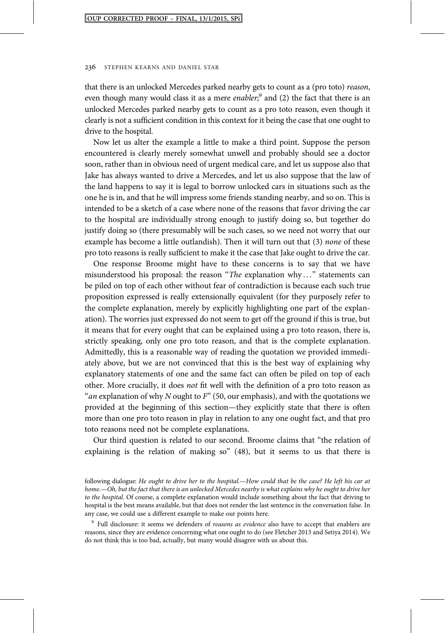that there is an unlocked Mercedes parked nearby gets to count as a (pro toto) reason, even though many would class it as a mere enabler;<sup>9</sup> and (2) the fact that there is an unlocked Mercedes parked nearby gets to count as a pro toto reason, even though it clearly is not a sufficient condition in this context for it being the case that one ought to drive to the hospital.

Now let us alter the example a little to make a third point. Suppose the person encountered is clearly merely somewhat unwell and probably should see a doctor soon, rather than in obvious need of urgent medical care, and let us suppose also that Jake has always wanted to drive a Mercedes, and let us also suppose that the law of the land happens to say it is legal to borrow unlocked cars in situations such as the one he is in, and that he will impress some friends standing nearby, and so on. This is intended to be a sketch of a case where none of the reasons that favor driving the car to the hospital are individually strong enough to justify doing so, but together do justify doing so (there presumably will be such cases, so we need not worry that our example has become a little outlandish). Then it will turn out that (3) none of these pro toto reasons is really sufficient to make it the case that Jake ought to drive the car.

One response Broome might have to these concerns is to say that we have misunderstood his proposal: the reason "The explanation why..." statements can be piled on top of each other without fear of contradiction is because each such true proposition expressed is really extensionally equivalent (for they purposely refer to the complete explanation, merely by explicitly highlighting one part of the explanation). The worries just expressed do not seem to get off the ground if this is true, but it means that for every ought that can be explained using a pro toto reason, there is, strictly speaking, only one pro toto reason, and that is the complete explanation. Admittedly, this is a reasonable way of reading the quotation we provided immediately above, but we are not convinced that this is the best way of explaining why explanatory statements of one and the same fact can often be piled on top of each other. More crucially, it does not fit well with the definition of a pro toto reason as "an explanation of why  $N$  ought to  $F$ " (50, our emphasis), and with the quotations we provided at the beginning of this section—they explicitly state that there is often more than one pro toto reason in play in relation to any one ought fact, and that pro toto reasons need not be complete explanations.

Our third question is related to our second. Broome claims that "the relation of explaining is the relation of making so" (48), but it seems to us that there is

following dialogue: He ought to drive her to the hospital.—How could that be the case? He left his car at home.—Oh, but the fact that there is an unlocked Mercedes nearby is what explains why he ought to drive her to the hospital. Of course, a complete explanation would include something about the fact that driving to hospital is the best means available, but that does not render the last sentence in the conversation false. In any case, we could use a different example to make our points here.

<sup>9</sup> Full disclosure: it seems we defenders of reasons as evidence also have to accept that enablers are reasons, since they are evidence concerning what one ought to do (see Fletcher 2013 and Setiya 2014). We do not think this is too bad, actually, but many would disagree with us about this.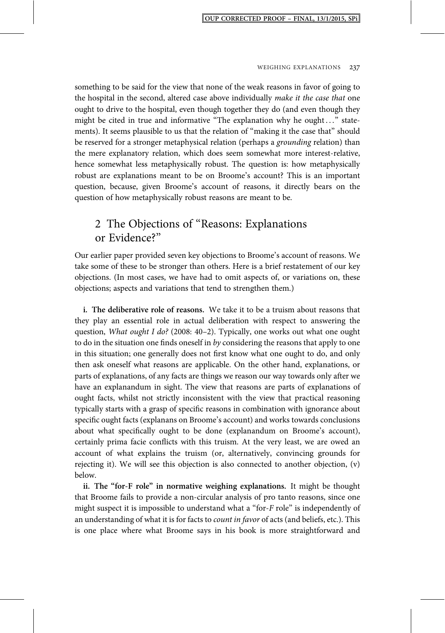something to be said for the view that none of the weak reasons in favor of going to the hospital in the second, altered case above individually make it the case that one ought to drive to the hospital, even though together they do (and even though they might be cited in true and informative "The explanation why he ought ..." statements). It seems plausible to us that the relation of "making it the case that" should be reserved for a stronger metaphysical relation (perhaps a grounding relation) than the mere explanatory relation, which does seem somewhat more interest-relative, hence somewhat less metaphysically robust. The question is: how metaphysically robust are explanations meant to be on Broome's account? This is an important question, because, given Broome's account of reasons, it directly bears on the question of how metaphysically robust reasons are meant to be.

## 2 The Objections of "Reasons: Explanations or Evidence?"

Our earlier paper provided seven key objections to Broome's account of reasons. We take some of these to be stronger than others. Here is a brief restatement of our key objections. (In most cases, we have had to omit aspects of, or variations on, these objections; aspects and variations that tend to strengthen them.)

**i. The deliberative role of reasons.** We take it to be a truism about reasons that they play an essential role in actual deliberation with respect to answering the question, What ought I do? (2008: 40–2). Typically, one works out what one ought to do in the situation one finds oneself in by considering the reasons that apply to one in this situation; one generally does not first know what one ought to do, and only then ask oneself what reasons are applicable. On the other hand, explanations, or parts of explanations, of any facts are things we reason our way towards only after we have an explanandum in sight. The view that reasons are parts of explanations of ought facts, whilst not strictly inconsistent with the view that practical reasoning typically starts with a grasp of specific reasons in combination with ignorance about specific ought facts (explanans on Broome's account) and works towards conclusions about what specifically ought to be done (explanandum on Broome's account), certainly prima facie conflicts with this truism. At the very least, we are owed an account of what explains the truism (or, alternatively, convincing grounds for rejecting it). We will see this objection is also connected to another objection, (v) below.

**ii. The "for-F role" in normative weighing explanations.** It might be thought that Broome fails to provide a non-circular analysis of pro tanto reasons, since one might suspect it is impossible to understand what a "for-F role" is independently of an understanding of what it is for facts to count in favor of acts (and beliefs, etc.). This is one place where what Broome says in his book is more straightforward and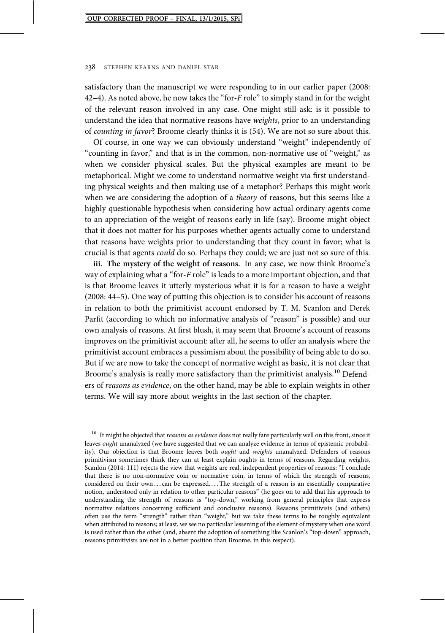satisfactory than the manuscript we were responding to in our earlier paper (2008: 42–4). As noted above, he now takes the "for-F role" to simply stand in for the weight of the relevant reason involved in any case. One might still ask: is it possible to understand the idea that normative reasons have weights, prior to an understanding of counting in favor? Broome clearly thinks it is (54). We are not so sure about this.

Of course, in one way we can obviously understand "weight" independently of "counting in favor," and that is in the common, non-normative use of "weight," as when we consider physical scales. But the physical examples are meant to be metaphorical. Might we come to understand normative weight via first understanding physical weights and then making use of a metaphor? Perhaps this might work when we are considering the adoption of a theory of reasons, but this seems like a highly questionable hypothesis when considering how actual ordinary agents come to an appreciation of the weight of reasons early in life (say). Broome might object that it does not matter for his purposes whether agents actually come to understand that reasons have weights prior to understanding that they count in favor; what is crucial is that agents could do so. Perhaps they could; we are just not so sure of this.

**iii. The mystery of the weight of reasons.** In any case, we now think Broome's way of explaining what a "for-F role" is leads to a more important objection, and that is that Broome leaves it utterly mysterious what it is for a reason to have a weight (2008: 44–5). One way of putting this objection is to consider his account of reasons in relation to both the primitivist account endorsed by T. M. Scanlon and Derek Parfit (according to which no informative analysis of "reason" is possible) and our own analysis of reasons. At first blush, it may seem that Broome's account of reasons improves on the primitivist account: after all, he seems to offer an analysis where the primitivist account embraces a pessimism about the possibility of being able to do so. But if we are now to take the concept of normative weight as basic, it is not clear that Broome's analysis is really more satisfactory than the primitivist analysis.<sup>10</sup> Defenders of reasons as evidence, on the other hand, may be able to explain weights in other terms. We will say more about weights in the last section of the chapter.

<sup>10</sup> It might be objected that *reasons as evidence* does not really fare particularly well on this front, since it leaves ought unanalyzed (we have suggested that we can analyze evidence in terms of epistemic probability). Our objection is that Broome leaves both ought and weights unanalyzed. Defenders of reasons primitivism sometimes think they can at least explain oughts in terms of reasons. Regarding weights, Scanlon (2014: 111) rejects the view that weights are real, independent properties of reasons: "I conclude that there is no non-normative coin or normative coin, in terms of which the strength of reasons, considered on their own . . . can be expressed. . . . The strength of a reason is an essentially comparative notion, understood only in relation to other particular reasons" (he goes on to add that his approach to understanding the strength of reasons is "top-down," working from general principles that express normative relations concerning sufficient and conclusive reasons). Reasons primitivists (and others) often use the term "strength" rather than "weight," but we take these terms to be roughly equivalent when attributed to reasons; at least, we see no particular lessening of the element of mystery when one word is used rather than the other (and, absent the adoption of something like Scanlon's "top-down" approach, reasons primitivists are not in a better position than Broome, in this respect).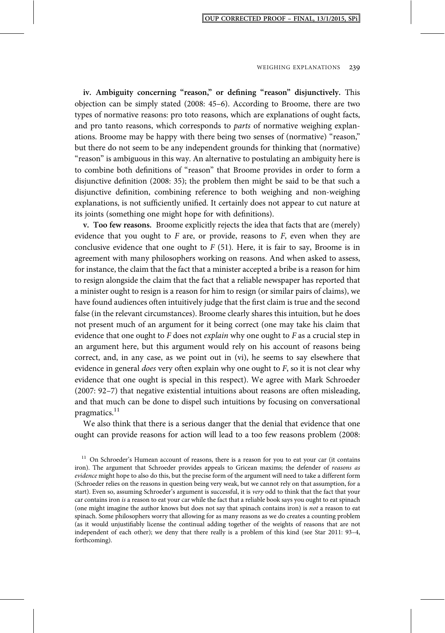**iv. Ambiguity concerning "reason," or defining "reason" disjunctively.** This objection can be simply stated (2008: 45–6). According to Broome, there are two types of normative reasons: pro toto reasons, which are explanations of ought facts, and pro tanto reasons, which corresponds to *parts* of normative weighing explanations. Broome may be happy with there being two senses of (normative) "reason," but there do not seem to be any independent grounds for thinking that (normative) "reason" is ambiguous in this way. An alternative to postulating an ambiguity here is to combine both definitions of "reason" that Broome provides in order to form a disjunctive definition (2008: 35); the problem then might be said to be that such a disjunctive definition, combining reference to both weighing and non-weighing explanations, is not sufficiently unified. It certainly does not appear to cut nature at its joints (something one might hope for with definitions).

**v. Too few reasons.** Broome explicitly rejects the idea that facts that are (merely) evidence that you ought to  $F$  are, or provide, reasons to  $F$ , even when they are conclusive evidence that one ought to  $F$  (51). Here, it is fair to say, Broome is in agreement with many philosophers working on reasons. And when asked to assess, for instance, the claim that the fact that a minister accepted a bribe is a reason for him to resign alongside the claim that the fact that a reliable newspaper has reported that a minister ought to resign is a reason for him to resign (or similar pairs of claims), we have found audiences often intuitively judge that the first claim is true and the second false (in the relevant circumstances). Broome clearly shares this intuition, but he does not present much of an argument for it being correct (one may take his claim that evidence that one ought to  $F$  does not *explain* why one ought to  $F$  as a crucial step in an argument here, but this argument would rely on his account of reasons being correct, and, in any case, as we point out in (vi), he seems to say elsewhere that evidence in general does very often explain why one ought to  $F$ , so it is not clear why evidence that one ought is special in this respect). We agree with Mark Schroeder (2007: 92–7) that negative existential intuitions about reasons are often misleading, and that much can be done to dispel such intuitions by focusing on conversational pragmatics. $11$ 

We also think that there is a serious danger that the denial that evidence that one ought can provide reasons for action will lead to a too few reasons problem (2008:

<sup>11</sup> On Schroeder's Humean account of reasons, there is a reason for you to eat your car (it contains iron). The argument that Schroeder provides appeals to Gricean maxims; the defender of reasons as evidence might hope to also do this, but the precise form of the argument will need to take a different form (Schroeder relies on the reasons in question being very weak, but we cannot rely on that assumption, for a start). Even so, assuming Schroeder's argument is successful, it is very odd to think that the fact that your car contains iron is a reason to eat your car while the fact that a reliable book says you ought to eat spinach (one might imagine the author knows but does not say that spinach contains iron) is not a reason to eat spinach. Some philosophers worry that allowing for as many reasons as we do creates a counting problem (as it would unjustifiably license the continual adding together of the weights of reasons that are not independent of each other); we deny that there really is a problem of this kind (see Star 2011: 93–4, forthcoming).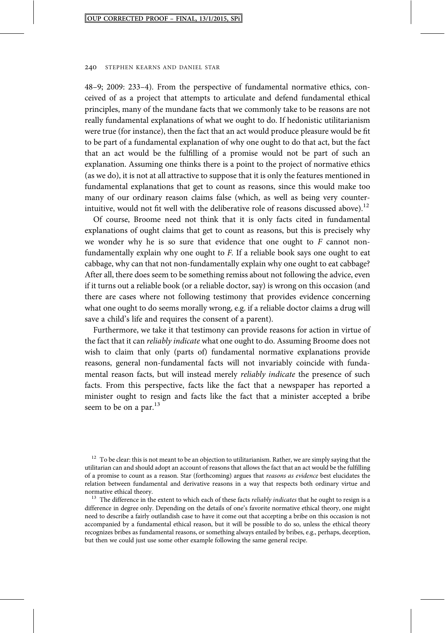48–9; 2009: 233–4). From the perspective of fundamental normative ethics, conceived of as a project that attempts to articulate and defend fundamental ethical principles, many of the mundane facts that we commonly take to be reasons are not really fundamental explanations of what we ought to do. If hedonistic utilitarianism were true (for instance), then the fact that an act would produce pleasure would be fit to be part of a fundamental explanation of why one ought to do that act, but the fact that an act would be the fulfilling of a promise would not be part of such an explanation. Assuming one thinks there is a point to the project of normative ethics (as we do), it is not at all attractive to suppose that it is only the features mentioned in fundamental explanations that get to count as reasons, since this would make too many of our ordinary reason claims false (which, as well as being very counterintuitive, would not fit well with the deliberative role of reasons discussed above).<sup>12</sup>

Of course, Broome need not think that it is only facts cited in fundamental explanations of ought claims that get to count as reasons, but this is precisely why we wonder why he is so sure that evidence that one ought to  $F$  cannot nonfundamentally explain why one ought to F. If a reliable book says one ought to eat cabbage, why can that not non-fundamentally explain why one ought to eat cabbage? After all, there does seem to be something remiss about not following the advice, even if it turns out a reliable book (or a reliable doctor, say) is wrong on this occasion (and there are cases where not following testimony that provides evidence concerning what one ought to do seems morally wrong, e.g. if a reliable doctor claims a drug will save a child's life and requires the consent of a parent).

Furthermore, we take it that testimony can provide reasons for action in virtue of the fact that it can reliably indicate what one ought to do. Assuming Broome does not wish to claim that only (parts of) fundamental normative explanations provide reasons, general non-fundamental facts will not invariably coincide with fundamental reason facts, but will instead merely reliably indicate the presence of such facts. From this perspective, facts like the fact that a newspaper has reported a minister ought to resign and facts like the fact that a minister accepted a bribe seem to be on a par.<sup>13</sup>

 $12$  To be clear: this is not meant to be an objection to utilitarianism. Rather, we are simply saying that the utilitarian can and should adopt an account of reasons that allows the fact that an act would be the fulfilling of a promise to count as a reason. Star (forthcoming) argues that reasons as evidence best elucidates the relation between fundamental and derivative reasons in a way that respects both ordinary virtue and normative ethical theory.<br> $13$  The difference in the extent to which each of these facts *reliably indicates* that he ought to resign is a

difference in degree only. Depending on the details of one's favorite normative ethical theory, one might need to describe a fairly outlandish case to have it come out that accepting a bribe on this occasion is not accompanied by a fundamental ethical reason, but it will be possible to do so, unless the ethical theory recognizes bribes as fundamental reasons, or something always entailed by bribes, e.g., perhaps, deception, but then we could just use some other example following the same general recipe.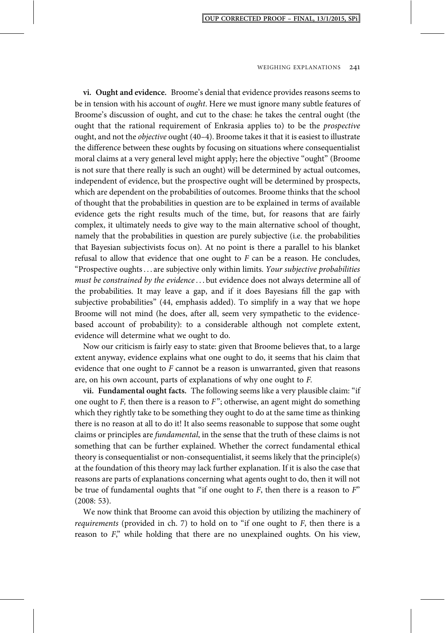**vi. Ought and evidence.** Broome's denial that evidence provides reasons seems to be in tension with his account of ought. Here we must ignore many subtle features of Broome's discussion of ought, and cut to the chase: he takes the central ought (the ought that the rational requirement of Enkrasia applies to) to be the prospective ought, and not the objective ought (40–4). Broome takes it that it is easiest to illustrate the difference between these oughts by focusing on situations where consequentialist moral claims at a very general level might apply; here the objective "ought" (Broome is not sure that there really is such an ought) will be determined by actual outcomes, independent of evidence, but the prospective ought will be determined by prospects, which are dependent on the probabilities of outcomes. Broome thinks that the school of thought that the probabilities in question are to be explained in terms of available evidence gets the right results much of the time, but, for reasons that are fairly complex, it ultimately needs to give way to the main alternative school of thought, namely that the probabilities in question are purely subjective (i.e. the probabilities that Bayesian subjectivists focus on). At no point is there a parallel to his blanket refusal to allow that evidence that one ought to  $F$  can be a reason. He concludes, "Prospective oughts. . . are subjective only within limits. Your subjective probabilities must be constrained by the evidence. . . but evidence does not always determine all of the probabilities. It may leave a gap, and if it does Bayesians fill the gap with subjective probabilities" (44, emphasis added). To simplify in a way that we hope Broome will not mind (he does, after all, seem very sympathetic to the evidencebased account of probability): to a considerable although not complete extent, evidence will determine what we ought to do.

Now our criticism is fairly easy to state: given that Broome believes that, to a large extent anyway, evidence explains what one ought to do, it seems that his claim that evidence that one ought to  $F$  cannot be a reason is unwarranted, given that reasons are, on his own account, parts of explanations of why one ought to F.

**vii. Fundamental ought facts.** The following seems like a very plausible claim: "if one ought to  $F$ , then there is a reason to  $F$ "; otherwise, an agent might do something which they rightly take to be something they ought to do at the same time as thinking there is no reason at all to do it! It also seems reasonable to suppose that some ought claims or principles are fundamental, in the sense that the truth of these claims is not something that can be further explained. Whether the correct fundamental ethical theory is consequentialist or non-consequentialist, it seems likely that the principle(s) at the foundation of this theory may lack further explanation. If it is also the case that reasons are parts of explanations concerning what agents ought to do, then it will not be true of fundamental oughts that "if one ought to  $F$ , then there is a reason to  $F$ " (2008: 53).

We now think that Broome can avoid this objection by utilizing the machinery of *requirements* (provided in ch. 7) to hold on to "if one ought to  $F$ , then there is a reason to F<sub>i</sub>," while holding that there are no unexplained oughts. On his view,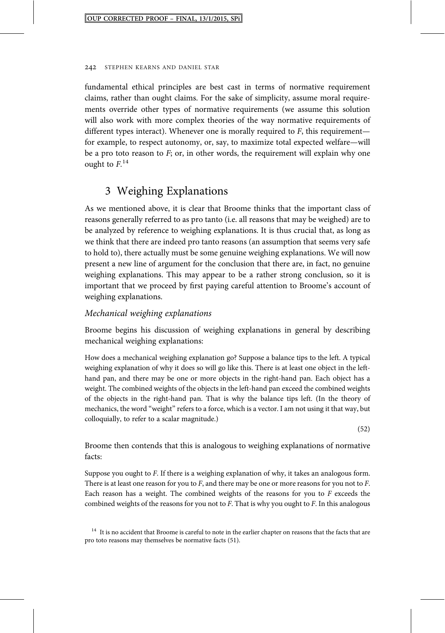fundamental ethical principles are best cast in terms of normative requirement claims, rather than ought claims. For the sake of simplicity, assume moral requirements override other types of normative requirements (we assume this solution will also work with more complex theories of the way normative requirements of different types interact). Whenever one is morally required to  $F$ , this requirement for example, to respect autonomy, or, say, to maximize total expected welfare—will be a pro toto reason to F; or, in other words, the requirement will explain why one ought to  $F^{14}$ 

# 3 Weighing Explanations

As we mentioned above, it is clear that Broome thinks that the important class of reasons generally referred to as pro tanto (i.e. all reasons that may be weighed) are to be analyzed by reference to weighing explanations. It is thus crucial that, as long as we think that there are indeed pro tanto reasons (an assumption that seems very safe to hold to), there actually must be some genuine weighing explanations. We will now present a new line of argument for the conclusion that there are, in fact, no genuine weighing explanations. This may appear to be a rather strong conclusion, so it is important that we proceed by first paying careful attention to Broome's account of weighing explanations.

#### Mechanical weighing explanations

Broome begins his discussion of weighing explanations in general by describing mechanical weighing explanations:

How does a mechanical weighing explanation go? Suppose a balance tips to the left. A typical weighing explanation of why it does so will go like this. There is at least one object in the lefthand pan, and there may be one or more objects in the right-hand pan. Each object has a weight. The combined weights of the objects in the left-hand pan exceed the combined weights of the objects in the right-hand pan. That is why the balance tips left. (In the theory of mechanics, the word "weight" refers to a force, which is a vector. I am not using it that way, but colloquially, to refer to a scalar magnitude.)

(52)

Broome then contends that this is analogous to weighing explanations of normative facts:

Suppose you ought to F. If there is a weighing explanation of why, it takes an analogous form. There is at least one reason for you to F, and there may be one or more reasons for you not to F. Each reason has a weight. The combined weights of the reasons for you to  $F$  exceeds the combined weights of the reasons for you not to  $F$ . That is why you ought to  $F$ . In this analogous

<sup>&</sup>lt;sup>14</sup> It is no accident that Broome is careful to note in the earlier chapter on reasons that the facts that are pro toto reasons may themselves be normative facts (51).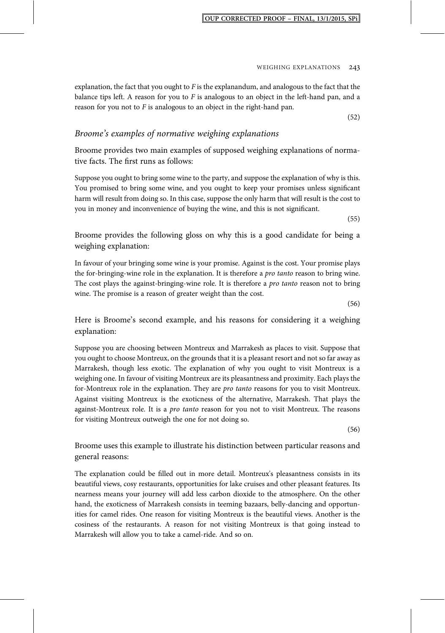explanation, the fact that you ought to F is the explanandum, and analogous to the fact that the balance tips left. A reason for you to  $F$  is analogous to an object in the left-hand pan, and a reason for you not to  $F$  is analogous to an object in the right-hand pan.

(52)

#### Broome*'*s examples of normative weighing explanations

Broome provides two main examples of supposed weighing explanations of normative facts. The first runs as follows:

Suppose you ought to bring some wine to the party, and suppose the explanation of why is this. You promised to bring some wine, and you ought to keep your promises unless significant harm will result from doing so. In this case, suppose the only harm that will result is the cost to you in money and inconvenience of buying the wine, and this is not significant.

(55)

Broome provides the following gloss on why this is a good candidate for being a weighing explanation:

In favour of your bringing some wine is your promise. Against is the cost. Your promise plays the for-bringing-wine role in the explanation. It is therefore a pro tanto reason to bring wine. The cost plays the against-bringing-wine role. It is therefore a *pro tanto* reason not to bring wine. The promise is a reason of greater weight than the cost.

(56)

Here is Broome's second example, and his reasons for considering it a weighing explanation:

Suppose you are choosing between Montreux and Marrakesh as places to visit. Suppose that you ought to choose Montreux, on the grounds that it is a pleasant resort and not so far away as Marrakesh, though less exotic. The explanation of why you ought to visit Montreux is a weighing one. In favour of visiting Montreux are its pleasantness and proximity. Each plays the for-Montreux role in the explanation. They are pro tanto reasons for you to visit Montreux. Against visiting Montreux is the exoticness of the alternative, Marrakesh. That plays the against-Montreux role. It is a pro tanto reason for you not to visit Montreux. The reasons for visiting Montreux outweigh the one for not doing so.

(56)

Broome uses this example to illustrate his distinction between particular reasons and general reasons:

The explanation could be filled out in more detail. Montreux's pleasantness consists in its beautiful views, cosy restaurants, opportunities for lake cruises and other pleasant features. Its nearness means your journey will add less carbon dioxide to the atmosphere. On the other hand, the exoticness of Marrakesh consists in teeming bazaars, belly-dancing and opportunities for camel rides. One reason for visiting Montreux is the beautiful views. Another is the cosiness of the restaurants. A reason for not visiting Montreux is that going instead to Marrakesh will allow you to take a camel-ride. And so on.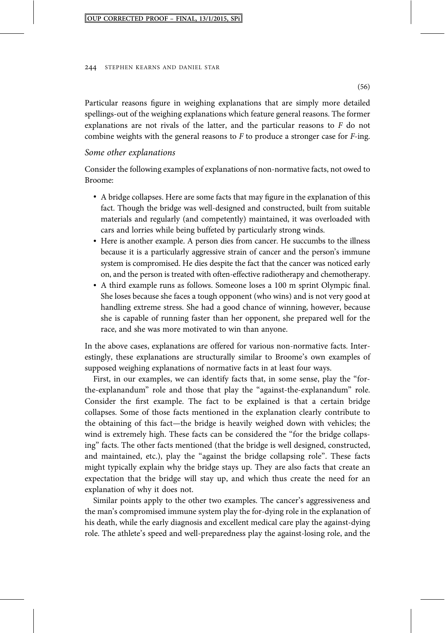Particular reasons figure in weighing explanations that are simply more detailed spellings-out of the weighing explanations which feature general reasons. The former explanations are not rivals of the latter, and the particular reasons to F do not combine weights with the general reasons to  $F$  to produce a stronger case for  $F$ -ing.

#### Some other explanations

Consider the following examples of explanations of non-normative facts, not owed to Broome:

- A bridge collapses. Here are some facts that may figure in the explanation of this fact. Though the bridge was well-designed and constructed, built from suitable materials and regularly (and competently) maintained, it was overloaded with cars and lorries while being buffeted by particularly strong winds.
- Here is another example. A person dies from cancer. He succumbs to the illness because it is a particularly aggressive strain of cancer and the person's immune system is compromised. He dies despite the fact that the cancer was noticed early on, and the person is treated with often-effective radiotherapy and chemotherapy.
- A third example runs as follows. Someone loses a 100 m sprint Olympic final. She loses because she faces a tough opponent (who wins) and is not very good at handling extreme stress. She had a good chance of winning, however, because she is capable of running faster than her opponent, she prepared well for the race, and she was more motivated to win than anyone.

In the above cases, explanations are offered for various non-normative facts. Interestingly, these explanations are structurally similar to Broome's own examples of supposed weighing explanations of normative facts in at least four ways.

First, in our examples, we can identify facts that, in some sense, play the "forthe-explanandum" role and those that play the "against-the-explanandum" role. Consider the first example. The fact to be explained is that a certain bridge collapses. Some of those facts mentioned in the explanation clearly contribute to the obtaining of this fact—the bridge is heavily weighed down with vehicles; the wind is extremely high. These facts can be considered the "for the bridge collapsing" facts. The other facts mentioned (that the bridge is well designed, constructed, and maintained, etc.), play the "against the bridge collapsing role". These facts might typically explain why the bridge stays up. They are also facts that create an expectation that the bridge will stay up, and which thus create the need for an explanation of why it does not.

Similar points apply to the other two examples. The cancer's aggressiveness and the man's compromised immune system play the for-dying role in the explanation of his death, while the early diagnosis and excellent medical care play the against-dying role. The athlete's speed and well-preparedness play the against-losing role, and the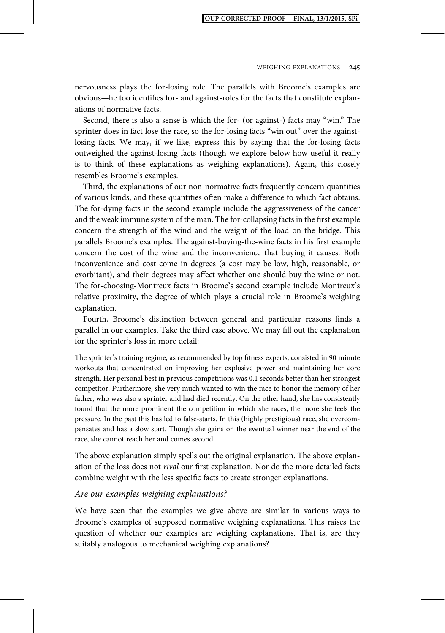nervousness plays the for-losing role. The parallels with Broome's examples are obvious—he too identifies for- and against-roles for the facts that constitute explanations of normative facts.

Second, there is also a sense is which the for- (or against-) facts may "win." The sprinter does in fact lose the race, so the for-losing facts "win out" over the againstlosing facts. We may, if we like, express this by saying that the for-losing facts outweighed the against-losing facts (though we explore below how useful it really is to think of these explanations as weighing explanations). Again, this closely resembles Broome's examples.

Third, the explanations of our non-normative facts frequently concern quantities of various kinds, and these quantities often make a difference to which fact obtains. The for-dying facts in the second example include the aggressiveness of the cancer and the weak immune system of the man. The for-collapsing facts in the first example concern the strength of the wind and the weight of the load on the bridge. This parallels Broome's examples. The against-buying-the-wine facts in his first example concern the cost of the wine and the inconvenience that buying it causes. Both inconvenience and cost come in degrees (a cost may be low, high, reasonable, or exorbitant), and their degrees may affect whether one should buy the wine or not. The for-choosing-Montreux facts in Broome's second example include Montreux's relative proximity, the degree of which plays a crucial role in Broome's weighing explanation.

Fourth, Broome's distinction between general and particular reasons finds a parallel in our examples. Take the third case above. We may fill out the explanation for the sprinter's loss in more detail:

The sprinter's training regime, as recommended by top fitness experts, consisted in 90 minute workouts that concentrated on improving her explosive power and maintaining her core strength. Her personal best in previous competitions was 0.1 seconds better than her strongest competitor. Furthermore, she very much wanted to win the race to honor the memory of her father, who was also a sprinter and had died recently. On the other hand, she has consistently found that the more prominent the competition in which she races, the more she feels the pressure. In the past this has led to false-starts. In this (highly prestigious) race, she overcompensates and has a slow start. Though she gains on the eventual winner near the end of the race, she cannot reach her and comes second.

The above explanation simply spells out the original explanation. The above explanation of the loss does not rival our first explanation. Nor do the more detailed facts combine weight with the less specific facts to create stronger explanations.

### Are our examples weighing explanations?

We have seen that the examples we give above are similar in various ways to Broome's examples of supposed normative weighing explanations. This raises the question of whether our examples are weighing explanations. That is, are they suitably analogous to mechanical weighing explanations?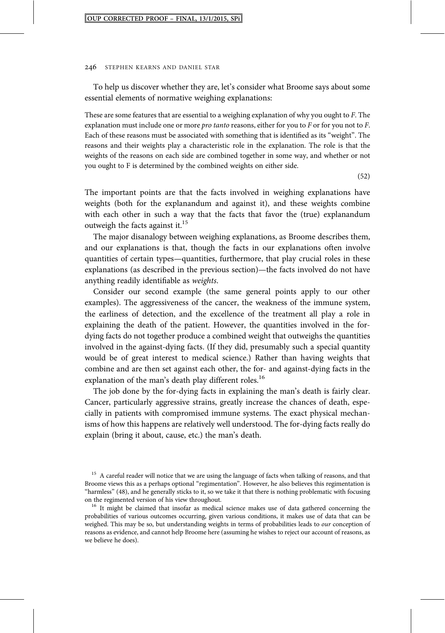To help us discover whether they are, let's consider what Broome says about some essential elements of normative weighing explanations:

These are some features that are essential to a weighing explanation of why you ought to F. The explanation must include one or more *pro tanto* reasons, either for you to  $F$  or for you not to  $F$ . Each of these reasons must be associated with something that is identified as its "weight". The reasons and their weights play a characteristic role in the explanation. The role is that the weights of the reasons on each side are combined together in some way, and whether or not you ought to F is determined by the combined weights on either side.

(52)

The important points are that the facts involved in weighing explanations have weights (both for the explanandum and against it), and these weights combine with each other in such a way that the facts that favor the (true) explanandum outweigh the facts against it.<sup>15</sup>

The major disanalogy between weighing explanations, as Broome describes them, and our explanations is that, though the facts in our explanations often involve quantities of certain types—quantities, furthermore, that play crucial roles in these explanations (as described in the previous section)—the facts involved do not have anything readily identifiable as weights.

Consider our second example (the same general points apply to our other examples). The aggressiveness of the cancer, the weakness of the immune system, the earliness of detection, and the excellence of the treatment all play a role in explaining the death of the patient. However, the quantities involved in the fordying facts do not together produce a combined weight that outweighs the quantities involved in the against-dying facts. (If they did, presumably such a special quantity would be of great interest to medical science.) Rather than having weights that combine and are then set against each other, the for- and against-dying facts in the explanation of the man's death play different roles.<sup>16</sup>

The job done by the for-dying facts in explaining the man's death is fairly clear. Cancer, particularly aggressive strains, greatly increase the chances of death, especially in patients with compromised immune systems. The exact physical mechanisms of how this happens are relatively well understood. The for-dying facts really do explain (bring it about, cause, etc.) the man's death.

 $^{\rm 15}$  A careful reader will notice that we are using the language of facts when talking of reasons, and that Broome views this as a perhaps optional "regimentation". However, he also believes this regimentation is "harmless" (48), and he generally sticks to it, so we take it that there is nothing problematic with focusing

<sup>16</sup> It might be claimed that insofar as medical science makes use of data gathered concerning the probabilities of various outcomes occurring, given various conditions, it makes use of data that can be weighed. This may be so, but understanding weights in terms of probabilities leads to our conception of reasons as evidence, and cannot help Broome here (assuming he wishes to reject our account of reasons, as we believe he does).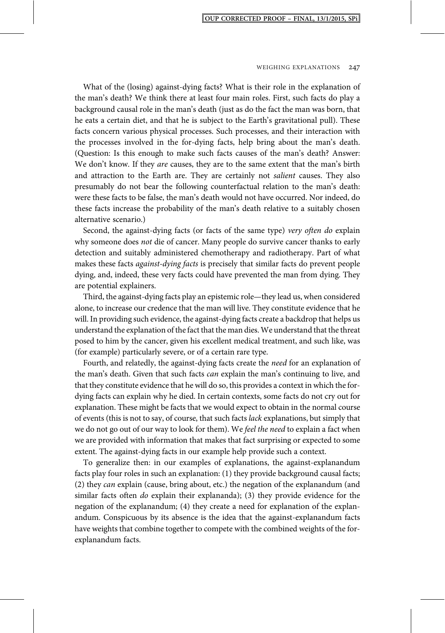What of the (losing) against-dying facts? What is their role in the explanation of the man's death? We think there at least four main roles. First, such facts do play a background causal role in the man's death (just as do the fact the man was born, that he eats a certain diet, and that he is subject to the Earth's gravitational pull). These facts concern various physical processes. Such processes, and their interaction with the processes involved in the for-dying facts, help bring about the man's death. (Question: Is this enough to make such facts causes of the man's death? Answer: We don't know. If they are causes, they are to the same extent that the man's birth and attraction to the Earth are. They are certainly not salient causes. They also presumably do not bear the following counterfactual relation to the man's death: were these facts to be false, the man's death would not have occurred. Nor indeed, do these facts increase the probability of the man's death relative to a suitably chosen alternative scenario.)

Second, the against-dying facts (or facts of the same type) very often do explain why someone does not die of cancer. Many people do survive cancer thanks to early detection and suitably administered chemotherapy and radiotherapy. Part of what makes these facts against-dying facts is precisely that similar facts do prevent people dying, and, indeed, these very facts could have prevented the man from dying. They are potential explainers.

Third, the against-dying facts play an epistemic role—they lead us, when considered alone, to increase our credence that the man will live. They constitute evidence that he will. In providing such evidence, the against-dying facts create a backdrop that helps us understand the explanation of the fact that the man dies. We understand that the threat posed to him by the cancer, given his excellent medical treatment, and such like, was (for example) particularly severe, or of a certain rare type.

Fourth, and relatedly, the against-dying facts create the need for an explanation of the man's death. Given that such facts can explain the man's continuing to live, and that they constitute evidence that he will do so, this provides a context in which the fordying facts can explain why he died. In certain contexts, some facts do not cry out for explanation. These might be facts that we would expect to obtain in the normal course of events (this is not to say, of course, that such facts lack explanations, but simply that we do not go out of our way to look for them). We feel the need to explain a fact when we are provided with information that makes that fact surprising or expected to some extent. The against-dying facts in our example help provide such a context.

To generalize then: in our examples of explanations, the against-explanandum facts play four roles in such an explanation: (1) they provide background causal facts; (2) they can explain (cause, bring about, etc.) the negation of the explanandum (and similar facts often do explain their explananda); (3) they provide evidence for the negation of the explanandum; (4) they create a need for explanation of the explanandum. Conspicuous by its absence is the idea that the against-explanandum facts have weights that combine together to compete with the combined weights of the forexplanandum facts.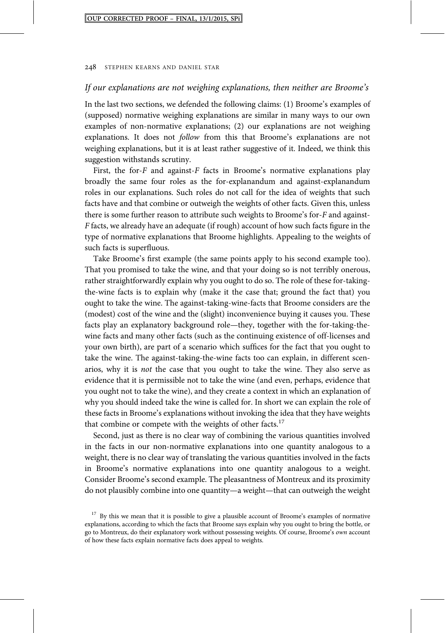#### If our explanations are not weighing explanations, then neither are Broome*'*s

In the last two sections, we defended the following claims: (1) Broome's examples of (supposed) normative weighing explanations are similar in many ways to our own examples of non-normative explanations; (2) our explanations are not weighing explanations. It does not follow from this that Broome's explanations are not weighing explanations, but it is at least rather suggestive of it. Indeed, we think this suggestion withstands scrutiny.

First, the for- $F$  and against- $F$  facts in Broome's normative explanations play broadly the same four roles as the for-explanandum and against-explanandum roles in our explanations. Such roles do not call for the idea of weights that such facts have and that combine or outweigh the weights of other facts. Given this, unless there is some further reason to attribute such weights to Broome's for-F and against-F facts, we already have an adequate (if rough) account of how such facts figure in the type of normative explanations that Broome highlights. Appealing to the weights of such facts is superfluous.

Take Broome's first example (the same points apply to his second example too). That you promised to take the wine, and that your doing so is not terribly onerous, rather straightforwardly explain why you ought to do so. The role of these for-takingthe-wine facts is to explain why (make it the case that; ground the fact that) you ought to take the wine. The against-taking-wine-facts that Broome considers are the (modest) cost of the wine and the (slight) inconvenience buying it causes you. These facts play an explanatory background role—they, together with the for-taking-thewine facts and many other facts (such as the continuing existence of off-licenses and your own birth), are part of a scenario which suffices for the fact that you ought to take the wine. The against-taking-the-wine facts too can explain, in different scenarios, why it is not the case that you ought to take the wine. They also serve as evidence that it is permissible not to take the wine (and even, perhaps, evidence that you ought not to take the wine), and they create a context in which an explanation of why you should indeed take the wine is called for. In short we can explain the role of these facts in Broome's explanations without invoking the idea that they have weights that combine or compete with the weights of other facts.<sup>17</sup>

Second, just as there is no clear way of combining the various quantities involved in the facts in our non-normative explanations into one quantity analogous to a weight, there is no clear way of translating the various quantities involved in the facts in Broome's normative explanations into one quantity analogous to a weight. Consider Broome's second example. The pleasantness of Montreux and its proximity do not plausibly combine into one quantity—a weight—that can outweigh the weight

 $17$  By this we mean that it is possible to give a plausible account of Broome's examples of normative explanations, according to which the facts that Broome says explain why you ought to bring the bottle, or go to Montreux, do their explanatory work without possessing weights. Of course, Broome's own account of how these facts explain normative facts does appeal to weights.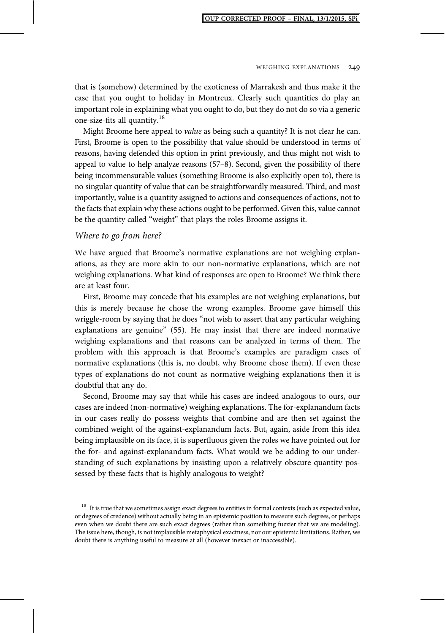that is (somehow) determined by the exoticness of Marrakesh and thus make it the case that you ought to holiday in Montreux. Clearly such quantities do play an important role in explaining what you ought to do, but they do not do so via a generic one-size-fits all quantity.<sup>18</sup>

Might Broome here appeal to value as being such a quantity? It is not clear he can. First, Broome is open to the possibility that value should be understood in terms of reasons, having defended this option in print previously, and thus might not wish to appeal to value to help analyze reasons (57–8). Second, given the possibility of there being incommensurable values (something Broome is also explicitly open to), there is no singular quantity of value that can be straightforwardly measured. Third, and most importantly, value is a quantity assigned to actions and consequences of actions, not to the facts that explain why these actions ought to be performed. Given this, value cannot be the quantity called "weight" that plays the roles Broome assigns it.

#### Where to go from here?

We have argued that Broome's normative explanations are not weighing explanations, as they are more akin to our non-normative explanations, which are not weighing explanations. What kind of responses are open to Broome? We think there are at least four.

First, Broome may concede that his examples are not weighing explanations, but this is merely because he chose the wrong examples. Broome gave himself this wriggle-room by saying that he does "not wish to assert that any particular weighing explanations are genuine" (55). He may insist that there are indeed normative weighing explanations and that reasons can be analyzed in terms of them. The problem with this approach is that Broome's examples are paradigm cases of normative explanations (this is, no doubt, why Broome chose them). If even these types of explanations do not count as normative weighing explanations then it is doubtful that any do.

Second, Broome may say that while his cases are indeed analogous to ours, our cases are indeed (non-normative) weighing explanations. The for-explanandum facts in our cases really do possess weights that combine and are then set against the combined weight of the against-explanandum facts. But, again, aside from this idea being implausible on its face, it is superfluous given the roles we have pointed out for the for- and against-explanandum facts. What would we be adding to our understanding of such explanations by insisting upon a relatively obscure quantity possessed by these facts that is highly analogous to weight?

 $^{18}\,$  It is true that we sometimes assign exact degrees to entities in formal contexts (such as expected value, or degrees of credence) without actually being in an epistemic position to measure such degrees, or perhaps even when we doubt there are such exact degrees (rather than something fuzzier that we are modeling). The issue here, though, is not implausible metaphysical exactness, nor our epistemic limitations. Rather, we doubt there is anything useful to measure at all (however inexact or inaccessible).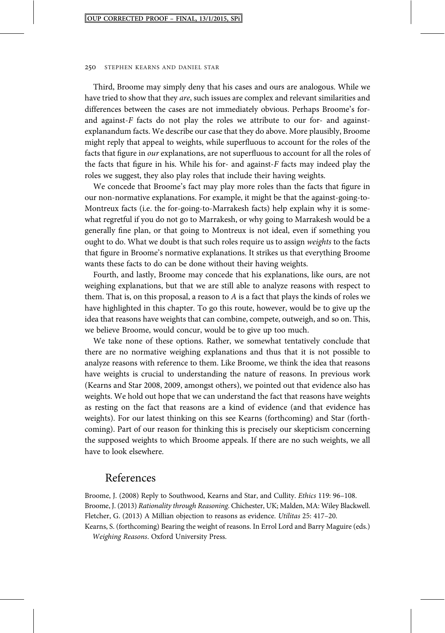Third, Broome may simply deny that his cases and ours are analogous. While we have tried to show that they are, such issues are complex and relevant similarities and differences between the cases are not immediately obvious. Perhaps Broome's forand against-F facts do not play the roles we attribute to our for- and againstexplanandum facts. We describe our case that they do above. More plausibly, Broome might reply that appeal to weights, while superfluous to account for the roles of the facts that figure in our explanations, are not superfluous to account for all the roles of the facts that figure in his. While his for- and against-F facts may indeed play the roles we suggest, they also play roles that include their having weights.

We concede that Broome's fact may play more roles than the facts that figure in our non-normative explanations. For example, it might be that the against-going-to-Montreux facts (i.e. the for-going-to-Marrakesh facts) help explain why it is somewhat regretful if you do not go to Marrakesh, or why going to Marrakesh would be a generally fine plan, or that going to Montreux is not ideal, even if something you ought to do. What we doubt is that such roles require us to assign weights to the facts that figure in Broome's normative explanations. It strikes us that everything Broome wants these facts to do can be done without their having weights.

Fourth, and lastly, Broome may concede that his explanations, like ours, are not weighing explanations, but that we are still able to analyze reasons with respect to them. That is, on this proposal, a reason to  $A$  is a fact that plays the kinds of roles we have highlighted in this chapter. To go this route, however, would be to give up the idea that reasons have weights that can combine, compete, outweigh, and so on. This, we believe Broome, would concur, would be to give up too much.

We take none of these options. Rather, we somewhat tentatively conclude that there are no normative weighing explanations and thus that it is not possible to analyze reasons with reference to them. Like Broome, we think the idea that reasons have weights is crucial to understanding the nature of reasons. In previous work (Kearns and Star 2008, 2009, amongst others), we pointed out that evidence also has weights. We hold out hope that we can understand the fact that reasons have weights as resting on the fact that reasons are a kind of evidence (and that evidence has weights). For our latest thinking on this see Kearns (forthcoming) and Star (forthcoming). Part of our reason for thinking this is precisely our skepticism concerning the supposed weights to which Broome appeals. If there are no such weights, we all have to look elsewhere.

## References

Broome, J. (2008) Reply to Southwood, Kearns and Star, and Cullity. Ethics 119: 96–108. Broome, J. (2013) Rationality through Reasoning. Chichester, UK; Malden, MA: Wiley Blackwell. Fletcher, G. (2013) A Millian objection to reasons as evidence. Utilitas 25: 417–20.

Kearns, S. (forthcoming) Bearing the weight of reasons. In Errol Lord and Barry Maguire (eds.) Weighing Reasons. Oxford University Press.